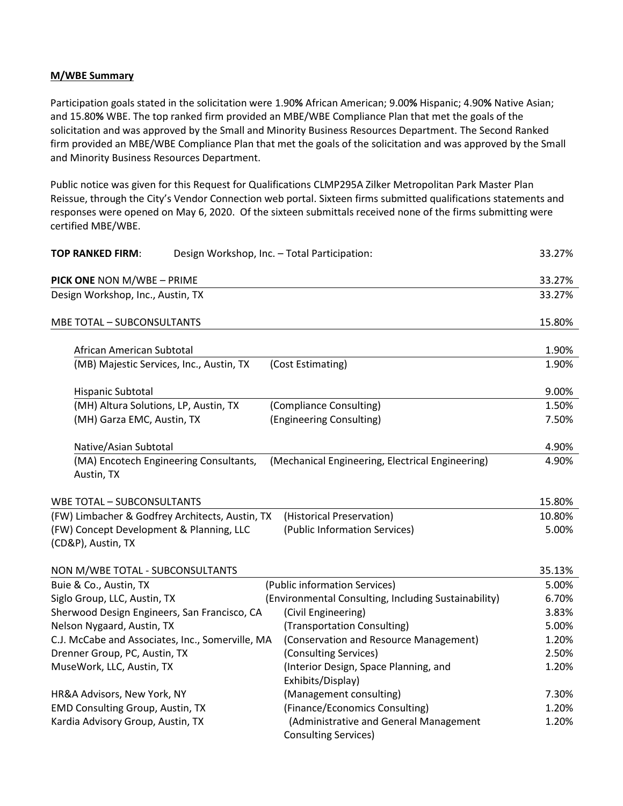## **M/WBE Summary**

Participation goals stated in the solicitation were 1.90**%** African American; 9.00**%** Hispanic; 4.90**%** Native Asian; and 15.80**%** WBE. The top ranked firm provided an MBE/WBE Compliance Plan that met the goals of the solicitation and was approved by the Small and Minority Business Resources Department. The Second Ranked firm provided an MBE/WBE Compliance Plan that met the goals of the solicitation and was approved by the Small and Minority Business Resources Department.

Public notice was given for this Request for Qualifications CLMP295A Zilker Metropolitan Park Master Plan Reissue, through the City's Vendor Connection web portal. Sixteen firms submitted qualifications statements and responses were opened on May 6, 2020. Of the sixteen submittals received none of the firms submitting were certified MBE/WBE.

| <b>TOP RANKED FIRM:</b><br>Design Workshop, Inc. - Total Participation: |                                                                       | 33.27% |
|-------------------------------------------------------------------------|-----------------------------------------------------------------------|--------|
| PICK ONE NON M/WBE - PRIME                                              |                                                                       | 33.27% |
| Design Workshop, Inc., Austin, TX                                       |                                                                       | 33.27% |
| MBE TOTAL - SUBCONSULTANTS                                              |                                                                       | 15.80% |
| African American Subtotal                                               |                                                                       | 1.90%  |
| (MB) Majestic Services, Inc., Austin, TX                                | (Cost Estimating)                                                     | 1.90%  |
| Hispanic Subtotal                                                       |                                                                       | 9.00%  |
| (MH) Altura Solutions, LP, Austin, TX                                   | (Compliance Consulting)                                               | 1.50%  |
| (MH) Garza EMC, Austin, TX                                              | (Engineering Consulting)                                              | 7.50%  |
| Native/Asian Subtotal                                                   |                                                                       | 4.90%  |
| (MA) Encotech Engineering Consultants,<br>Austin, TX                    | (Mechanical Engineering, Electrical Engineering)                      | 4.90%  |
| <b>WBE TOTAL - SUBCONSULTANTS</b>                                       |                                                                       | 15.80% |
| (FW) Limbacher & Godfrey Architects, Austin, TX                         | (Historical Preservation)                                             | 10.80% |
| (FW) Concept Development & Planning, LLC                                | (Public Information Services)                                         | 5.00%  |
| (CD&P), Austin, TX                                                      |                                                                       |        |
| NON M/WBE TOTAL - SUBCONSULTANTS                                        |                                                                       | 35.13% |
| Buie & Co., Austin, TX                                                  | (Public information Services)                                         | 5.00%  |
| Siglo Group, LLC, Austin, TX                                            | (Environmental Consulting, Including Sustainability)                  | 6.70%  |
| Sherwood Design Engineers, San Francisco, CA                            | (Civil Engineering)                                                   | 3.83%  |
| Nelson Nygaard, Austin, TX                                              | (Transportation Consulting)                                           | 5.00%  |
| C.J. McCabe and Associates, Inc., Somerville, MA                        | (Conservation and Resource Management)                                | 1.20%  |
| Drenner Group, PC, Austin, TX                                           | (Consulting Services)                                                 | 2.50%  |
| MuseWork, LLC, Austin, TX                                               | (Interior Design, Space Planning, and<br>Exhibits/Display)            | 1.20%  |
| HR&A Advisors, New York, NY                                             | (Management consulting)                                               | 7.30%  |
| <b>EMD Consulting Group, Austin, TX</b>                                 | (Finance/Economics Consulting)                                        | 1.20%  |
| Kardia Advisory Group, Austin, TX                                       | (Administrative and General Management<br><b>Consulting Services)</b> | 1.20%  |